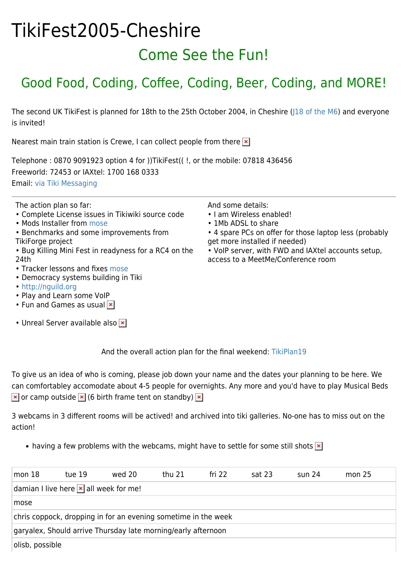## TikiFest2005-Cheshire Come See the Fun!

## Good Food, Coding, Coffee, Coding, Beer, Coding, and MORE!

The second UK TikiFest is planned for 18th to the 25th October 2004, in Cheshire [\(J18 of the M6\)](http://www.multimap.com/map/browse.cgi?lat=53.2019&lon=-2.3532&scale=50000&icon=x) and everyone is invited!

Nearest main train station is Crewe, I can collect people from there  $\mathbf{\times}$ 

Telephone : 0870 9091923 option 4 for ))TikiFest(( !, or the mobile: 07818 436456 Freeworld: 72453 or IAXtel: 1700 168 0333 Email: [via Tiki Messaging](http://tikiwiki.org/messu-compose.php?to=Damian)

The action plan so far:

- Complete License issues in Tikiwiki source code
- Mods Installer from [mose](https://tiki.org/mose)
- Benchmarks and some improvements from TikiForge project
- Bug Killing Mini Fest in readyness for a RC4 on the 24th
- Tracker lessons and fixes [mose](https://tiki.org/mose)
- Democracy systems building in Tiki
- <http://nguild.org>
- Play and Learn some VoIP
- Fun and Games as usual  $\vert x \vert$
- Unreal Server available also **×**

And some details:

- I am Wireless enabled!
- 1Mb ADSL to share
- 4 spare PCs on offer for those laptop less (probably get more installed if needed)
- VoIP server, with FWD and IAXtel accounts setup, access to a MeetMe/Conference room

And the overall action plan for the final weekend: [TikiPlan19](https://tiki.org/TikiPlan19)

To give us an idea of who is coming, please job down your name and the dates your planning to be here. We can comfortabley accomodate about 4-5 people for overnights. Any more and you'd have to play Musical Beds  $\mathbf{\times}$  or camp outside  $\mathbf{\times}$  (6 birth frame tent on standby)  $\mathbf{\times}$ 

3 webcams in 3 different rooms will be actived! and archived into tiki galleries. No-one has to miss out on the action!

• having a few problems with the webcams, might have to settle for some still shots  $\mathbf{x}$ 

| mon <sub>18</sub>                                              | tue 19 | wed 20 | thu 21 | fri 22 | sat 23 | $\sin 24$ | mon $25$ |  |
|----------------------------------------------------------------|--------|--------|--------|--------|--------|-----------|----------|--|
| damian I live here $\mathbf{\times}$ all week for me!          |        |        |        |        |        |           |          |  |
| mose                                                           |        |        |        |        |        |           |          |  |
| chris coppock, dropping in for an evening sometime in the week |        |        |        |        |        |           |          |  |
| garyalex, Should arrive Thursday late morning/early afternoon  |        |        |        |        |        |           |          |  |
| olisb, possible                                                |        |        |        |        |        |           |          |  |